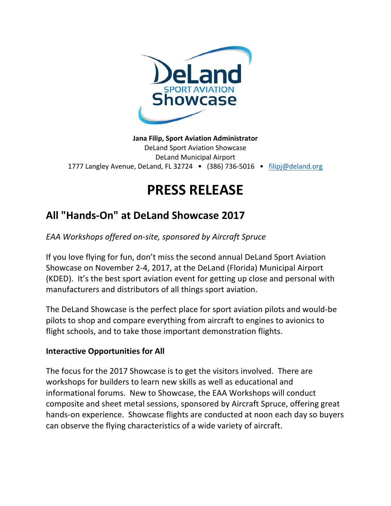

**Jana Filip, Sport Aviation Administrator** DeLand Sport Aviation Showcase DeLand Municipal Airport 1777 Langley Avenue, DeLand, FL 32724  $\bullet$  (386) 736-5016  $\bullet$  filipj@deland.org

## **PRESS RELEASE**

## **All "Hands-On" at DeLand Showcase 2017**

*EAA Workshops offered on-site, sponsored by Aircraft Spruce*

If you love flying for fun, don't miss the second annual DeLand Sport Aviation Showcase on November 2-4, 2017, at the DeLand (Florida) Municipal Airport (KDED). It's the best sport aviation event for getting up close and personal with manufacturers and distributors of all things sport aviation.

The DeLand Showcase is the perfect place for sport aviation pilots and would-be pilots to shop and compare everything from aircraft to engines to avionics to flight schools, and to take those important demonstration flights.

## **Interactive Opportunities for All**

The focus for the 2017 Showcase is to get the visitors involved. There are workshops for builders to learn new skills as well as educational and informational forums. New to Showcase, the EAA Workshops will conduct composite and sheet metal sessions, sponsored by Aircraft Spruce, offering great hands-on experience. Showcase flights are conducted at noon each day so buyers can observe the flying characteristics of a wide variety of aircraft.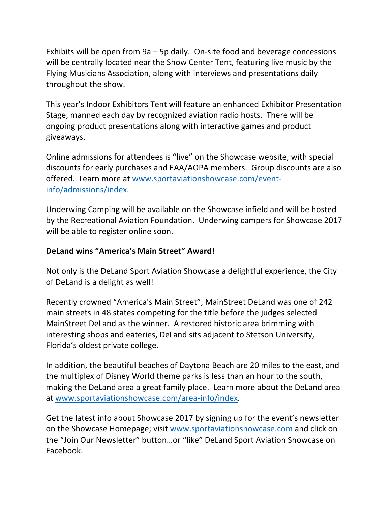Exhibits will be open from  $9a - 5p$  daily. On-site food and beverage concessions will be centrally located near the Show Center Tent, featuring live music by the Flying Musicians Association, along with interviews and presentations daily throughout the show.

This year's Indoor Exhibitors Tent will feature an enhanced Exhibitor Presentation Stage, manned each day by recognized aviation radio hosts. There will be ongoing product presentations along with interactive games and product giveaways.

Online admissions for attendees is "live" on the Showcase website, with special discounts for early purchases and EAA/AOPA members. Group discounts are also offered. Learn more at www.sportaviationshowcase.com/eventinfo/admissions/index.

Underwing Camping will be available on the Showcase infield and will be hosted by the Recreational Aviation Foundation. Underwing campers for Showcase 2017 will be able to register online soon.

## **DeLand wins "America's Main Street" Award!**

Not only is the DeLand Sport Aviation Showcase a delightful experience, the City of DeLand is a delight as well!

Recently crowned "America's Main Street", MainStreet DeLand was one of 242 main streets in 48 states competing for the title before the judges selected MainStreet DeLand as the winner. A restored historic area brimming with interesting shops and eateries, DeLand sits adjacent to Stetson University, Florida's oldest private college.

In addition, the beautiful beaches of Daytona Beach are 20 miles to the east, and the multiplex of Disney World theme parks is less than an hour to the south, making the DeLand area a great family place. Learn more about the DeLand area at www.sportaviationshowcase.com/area-info/index.

Get the latest info about Showcase 2017 by signing up for the event's newsletter on the Showcase Homepage; visit www.sportaviationshowcase.com and click on the "Join Our Newsletter" button...or "like" DeLand Sport Aviation Showcase on Facebook.